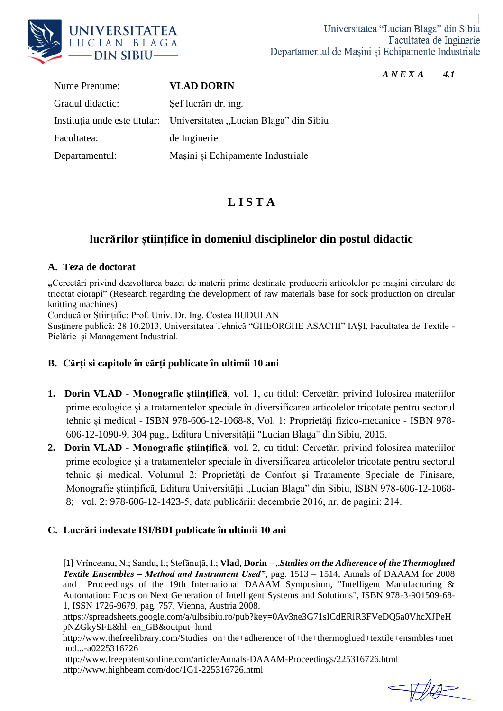

#### *A N E X A 4.1*

Nume Prenume: **VLAD DORIN** Gradul didactic: Şef lucrări dr. ing. Instituția unde este titular: Universitatea "Lucian Blaga" din Sibiu Facultatea: de Inginerie Departamentul: Mașini și Echipamente Industriale

# **L I S T A**

# **lucrărilor științifice în domeniul disciplinelor din postul didactic**

#### **A. Teza de doctorat**

**"**Cercetări privind dezvoltarea bazei de materii prime destinate producerii articolelor pe mașini circulare de tricotat ciorapi" (Research regarding the development of raw materials base for sock production on circular knitting machines)

Conducător Științific: Prof. Univ. Dr. Ing. Costea BUDULAN

Susținere publică: 28.10.2013, Universitatea Tehnică "GHEORGHE ASACHI" IAŞI, Facultatea de Textile - Pielărie și Management Industrial.

## **B. Cărți si capitole în cărți publicate în ultimii 10 ani**

- **1. Dorin VLAD Monografie științifică**, vol. 1, cu titlul: Cercetări privind folosirea materiilor prime ecologice și a tratamentelor speciale în diversificarea articolelor tricotate pentru sectorul tehnic și medical - ISBN 978-606-12-1068-8, Vol. 1: Proprietăți fizico-mecanice - ISBN 978- 606-12-1090-9, 304 pag., Editura Universității "Lucian Blaga" din Sibiu, 2015.
- **2. Dorin VLAD Monografie științifică**, vol. 2, cu titlul: Cercetări privind folosirea materiilor prime ecologice și a tratamentelor speciale în diversificarea articolelor tricotate pentru sectorul tehnic și medical. Volumul 2: Proprietăți de Confort și Tratamente Speciale de Finisare, Monografie științifică, Editura Universității "Lucian Blaga" din Sibiu, ISBN 978-606-12-1068-8; vol. 2: 978-606-12-1423-5, data publicării: decembrie 2016, nr. de pagini: 214.

## **C. Lucrări indexate ISI/BDI publicate în ultimii 10 ani**

**[1]** Vrînceanu, N.; Sandu, I.; Stefănuţă, I.; **Vlad, Dorin** – "*Studies on the Adherence of the Thermoglued Textile Ensembles – Method and Instrument Used"*, pag. 1513 – 1514, Annals of DAAAM for 2008 and Proceedings of the 19th International DAAAM Symposium, "Intelligent Manufacturing & Automation: Focus on Next Generation of Intelligent Systems and Solutions", ISBN 978-3-901509-68- 1, ISSN 1726-9679, pag. 757, Vienna, Austria 2008.

https://spreadsheets.google.com/a/ulbsibiu.ro/pub?key=0Av3ne3G71sICdERlR3FVeDQ5a0VhcXJPeH pNZGkySFE&hl=en\_GB&output=html

http://www.thefreelibrary.com/Studies+on+the+adherence+of+the+thermoglued+textile+ensmbles+met hod...-a0225316726

http://www.freepatentsonline.com/article/Annals-DAAAM-Proceedings/225316726.html http://www.highbeam.com/doc/1G1-225316726.html

 $\rightarrow$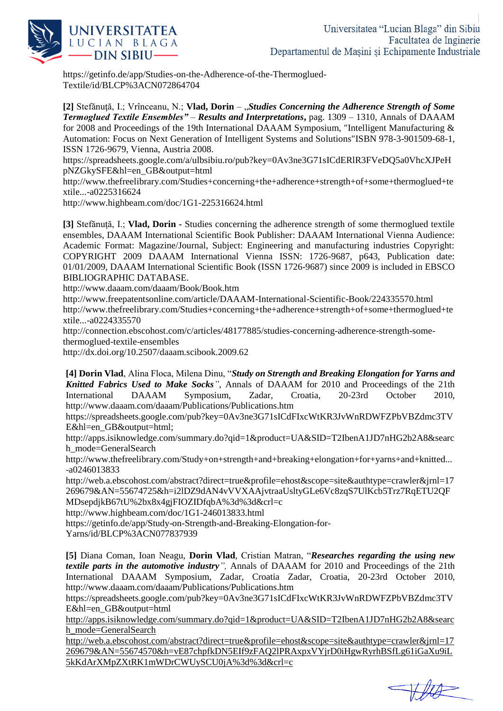

https://getinfo.de/app/Studies-on-the-Adherence-of-the-Thermoglued-Textile/id/BLCP%3ACN072864704

**[2]** Stefănuţă, I.; Vrînceanu, N.; **Vlad, Dorin** – "*Studies Concerning the Adherence Strength of Some Termoglued Textile Ensembles" – Results and Interpretations***,** pag. 1309 – 1310, Annals of DAAAM for 2008 and Proceedings of the 19th International DAAAM Symposium, "Intelligent Manufacturing & Automation: Focus on Next Generation of Intelligent Systems and Solutions"ISBN 978-3-901509-68-1, ISSN 1726-9679, Vienna, Austria 2008.

https://spreadsheets.google.com/a/ulbsibiu.ro/pub?key=0Av3ne3G71sICdERlR3FVeDQ5a0VhcXJPeH pNZGkySFE&hl=en\_GB&output=html

http://www.thefreelibrary.com/Studies+concerning+the+adherence+strength+of+some+thermoglued+te xtile...-a0225316624

http://www.highbeam.com/doc/1G1-225316624.html

**[3]** Stefănuţă, I.; **Vlad, Dorin -** Studies concerning the adherence strength of some thermoglued textile ensembles, DAAAM International Scientific Book Publisher: DAAAM International Vienna Audience: Academic Format: Magazine/Journal, Subject: Engineering and manufacturing industries Copyright: COPYRIGHT 2009 DAAAM International Vienna ISSN: 1726-9687, p643, Publication date: 01/01/2009, DAAAM International Scientific Book (ISSN 1726-9687) since 2009 is included in EBSCO BIBLIOGRAPHIC DATABASE.

http://www.daaam.com/daaam/Book/Book.htm

http://www.freepatentsonline.com/article/DAAAM-International-Scientific-Book/224335570.html

http://www.thefreelibrary.com/Studies+concerning+the+adherence+strength+of+some+thermoglued+te xtile...-a0224335570

http://connection.ebscohost.com/c/articles/48177885/studies-concerning-adherence-strength-somethermoglued-textile-ensembles

http://dx.doi.org/10.2507/daaam.scibook.2009.62

**[4] Dorin Vlad**, Alina Floca, Milena Dinu, "*Study on Strength and Breaking Elongation for Yarns and Knitted Fabrics Used to Make Socks"*, Annals of DAAAM for 2010 and Proceedings of the 21th International DAAAM Symposium, Zadar, Croatia, 20-23rd October 2010, http://www.daaam.com/daaam/Publications/Publications.htm

https://spreadsheets.google.com/pub?key=0Av3ne3G71sICdFIxcWtKR3JvWnRDWFZPbVBZdmc3TV E&hl=en\_GB&output=html;

http://apps.isiknowledge.com/summary.do?qid=1&product=UA&SID=T2IbenA1JD7nHG2b2A8&searc h\_mode=GeneralSearch

http://www.thefreelibrary.com/Study+on+strength+and+breaking+elongation+for+yarns+and+knitted... -a0246013833

http://web.a.ebscohost.com/abstract?direct=true&profile=ehost&scope=site&authtype=crawler&jrnl=17 269679&AN=55674725&h=i2lDZ9dAN4vVVXAAjvtraaUsltyGLe6Vc8zqS7UlKcb5Trz7RqETU2QF

MDsepdjkB67tU%2bx8x4gjFIOZIDfqbA%3d%3d&crl=c

http://www.highbeam.com/doc/1G1-246013833.html

https://getinfo.de/app/Study-on-Strength-and-Breaking-Elongation-for-

Yarns/id/BLCP%3ACN077837939

**[5]** Diana Coman, Ioan Neagu, **Dorin Vlad***,* Cristian Matran, "*Researches regarding the using new textile parts in the automotive industry",* Annals of DAAAM for 2010 and Proceedings of the 21th International DAAAM Symposium, Zadar, Croatia Zadar, Croatia, 20-23rd October 2010, http://www.daaam.com/daaam/Publications/Publications.htm

https://spreadsheets.google.com/pub?key=0Av3ne3G71sICdFIxcWtKR3JvWnRDWFZPbVBZdmc3TV E&hl=en\_GB&output=html

[http://apps.isiknowledge.com/summary.do?qid=1&product=UA&SID=T2IbenA1JD7nHG2b2A8&searc](http://apps.isiknowledge.com/summary.do?qid=1&product=UA&SID=T2IbenA1JD7nHG2b2A8&search_mode=GeneralSearch) [h\\_mode=GeneralSearch](http://apps.isiknowledge.com/summary.do?qid=1&product=UA&SID=T2IbenA1JD7nHG2b2A8&search_mode=GeneralSearch)

[http://web.a.ebscohost.com/abstract?direct=true&profile=ehost&scope=site&authtype=crawler&jrnl=17](http://web.a.ebscohost.com/abstract?direct=true&profile=ehost&scope=site&authtype=crawler&jrnl=17269679&AN=55674570&h=vE87chpfkDN5EIf9zFAQ2lPRAxpxVYjrD0iHgwRyrhBSfLg61iGaXu9iL5kKdArXMpZXtRK1mWDrCWUySCU0jA%3d%3d&crl=c) [269679&AN=55674570&h=vE87chpfkDN5EIf9zFAQ2lPRAxpxVYjrD0iHgwRyrhBSfLg61iGaXu9iL](http://web.a.ebscohost.com/abstract?direct=true&profile=ehost&scope=site&authtype=crawler&jrnl=17269679&AN=55674570&h=vE87chpfkDN5EIf9zFAQ2lPRAxpxVYjrD0iHgwRyrhBSfLg61iGaXu9iL5kKdArXMpZXtRK1mWDrCWUySCU0jA%3d%3d&crl=c) [5kKdArXMpZXtRK1mWDrCWUySCU0jA%3d%3d&crl=c](http://web.a.ebscohost.com/abstract?direct=true&profile=ehost&scope=site&authtype=crawler&jrnl=17269679&AN=55674570&h=vE87chpfkDN5EIf9zFAQ2lPRAxpxVYjrD0iHgwRyrhBSfLg61iGaXu9iL5kKdArXMpZXtRK1mWDrCWUySCU0jA%3d%3d&crl=c)

 $H\rightarrow 0$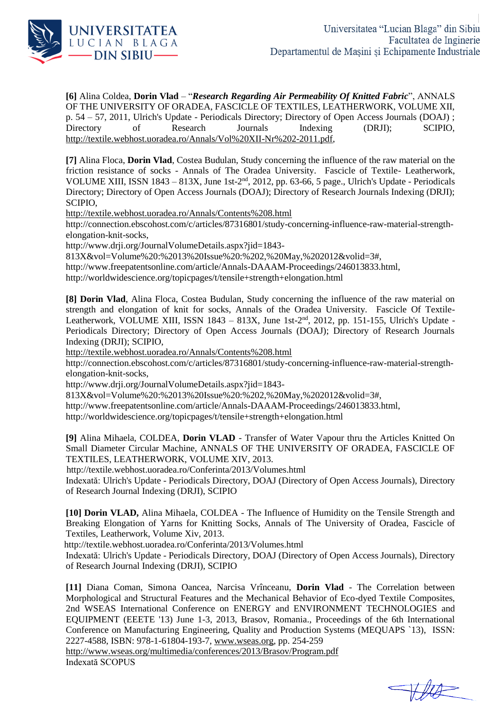

**[6]** Alina Coldea, **Dorin Vlad** – "*Research Regarding Air Permeability Of Knitted Fabric*", ANNALS OF THE UNIVERSITY OF ORADEA, FASCICLE OF TEXTILES, LEATHERWORK, VOLUME XII, p. 54 – 57, 2011, Ulrich's Update - Periodicals Directory; Directory of Open Access Journals (DOAJ) ; Directory of Research Journals Indexing (DRJI); SCIPIO, [http://textile.webhost.uoradea.ro/Annals/Vol%20XII-Nr%202-2011.pdf,](http://textile.webhost.uoradea.ro/Annals/Vol%20XII-Nr%202-2011.pdf)

**[7]** Alina Floca, **Dorin Vlad**, Costea Budulan, Study concerning the influence of the raw material on the friction resistance of socks - Annals of The Oradea University. Fascicle of Textile- Leatherwork, VOLUME XIII, ISSN 1843 - 813X, June 1st- $2<sup>nd</sup>$ , 2012, pp. 63-66, 5 page., Ulrich's Update - Periodicals Directory; Directory of Open Access Journals (DOAJ); Directory of Research Journals Indexing (DRJI); SCIPIO,

<http://textile.webhost.uoradea.ro/Annals/Contents%208.html>

http://connection.ebscohost.com/c/articles/87316801/study-concerning-influence-raw-material-strengthelongation-knit-socks,

http://www.drji.org/JournalVolumeDetails.aspx?jid=1843-

813X&vol=Volume%20:%2013%20Issue%20:%202,%20May,%202012&volid=3#,

http://www.freepatentsonline.com/article/Annals-DAAAM-Proceedings/246013833.html,

http://worldwidescience.org/topicpages/t/tensile+strength+elongation.html

**[8] Dorin Vlad**, Alina Floca, Costea Budulan, Study concerning the influence of the raw material on strength and elongation of knit for socks, Annals of the Oradea University. Fascicle Of Textile-Leatherwork, VOLUME XIII, ISSN 1843 - 813X, June 1st-2<sup>nd</sup>, 2012, pp. 151-155, Ulrich's Update -Periodicals Directory; Directory of Open Access Journals (DOAJ); Directory of Research Journals Indexing (DRJI); SCIPIO,

<http://textile.webhost.uoradea.ro/Annals/Contents%208.html>

http://connection.ebscohost.com/c/articles/87316801/study-concerning-influence-raw-material-strengthelongation-knit-socks,

http://www.drji.org/JournalVolumeDetails.aspx?jid=1843-

813X&vol=Volume%20:%2013%20Issue%20:%202,%20May,%202012&volid=3#,

http://www.freepatentsonline.com/article/Annals-DAAAM-Proceedings/246013833.html,

http://worldwidescience.org/topicpages/t/tensile+strength+elongation.html

**[9]** Alina Mihaela, COLDEA, **Dorin VLAD** - Transfer of Water Vapour thru the Articles Knitted On Small Diameter Circular Machine, ANNALS OF THE UNIVERSITY OF ORADEA, FASCICLE OF TEXTILES, LEATHERWORK, VOLUME XIV, 2013.

http://textile.webhost.uoradea.ro/Conferinta/2013/Volumes.html

Indexată: Ulrich's Update - Periodicals Directory, DOAJ (Directory of Open Access Journals), Directory of Research Journal Indexing (DRJI), SCIPIO

**[10] Dorin VLAD,** Alina Mihaela, COLDEA - The Influence of Humidity on the Tensile Strength and Breaking Elongation of Yarns for Knitting Socks, Annals of The University of Oradea, Fascicle of Textiles, Leatherwork, Volume Xiv, 2013.

http://textile.webhost.uoradea.ro/Conferinta/2013/Volumes.html

Indexată: Ulrich's Update - Periodicals Directory, DOAJ (Directory of Open Access Journals), Directory of Research Journal Indexing (DRJI), SCIPIO

**[11]** Diana Coman, Simona Oancea, Narcisa Vrînceanu, **Dorin Vlad** - The Correlation between Morphological and Structural Features and the Mechanical Behavior of Eco-dyed Textile Composites, 2nd WSEAS International Conference on ENERGY and ENVIRONMENT TECHNOLOGIES and EQUIPMENT (EEETE '13) June 1-3, 2013, Brasov, Romania., Proceedings of the 6th International Conference on Manufacturing Engineering, Quality and Production Systems (MEQUAPS `13), ISSN: 2227-4588, ISBN: 978-1-61804-193-7, [www.wseas.org,](http://www.wseas.org/) pp. 254-259

<http://www.wseas.org/multimedia/conferences/2013/Brasov/Program.pdf> Indexată SCOPUS

 $+442$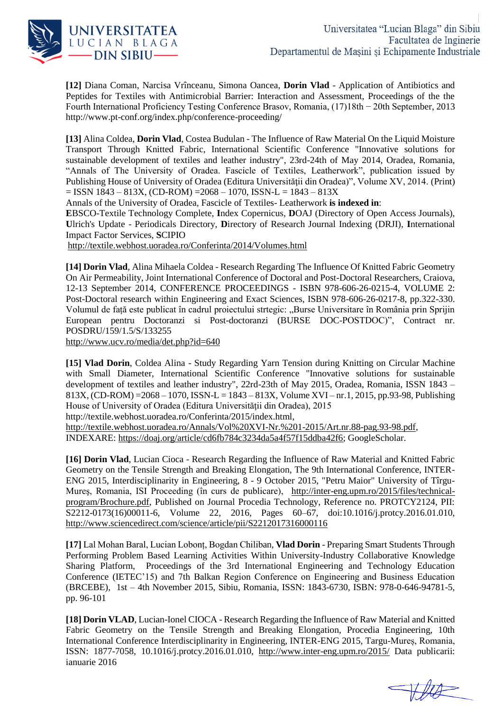

**[12]** Diana Coman, Narcisa Vrînceanu, Simona Oancea, **Dorin Vlad** - Application of Antibiotics and Peptides for Textiles with Antimicrobial Barrier: Interaction and Assessment, Proceedings of the the Fourth International Proficiency Testing Conference Brasov, Romania, (17)18th − 20th September, 2013 http://www.pt-conf.org/index.php/conference-proceeding/

**[13]** Alina Coldea, **Dorin Vlad**, Costea Budulan - The Influence of Raw Material On the Liquid Moisture Transport Through Knitted Fabric, International Scientific Conference "Innovative solutions for sustainable development of textiles and leather industry", 23rd-24th of May 2014, Oradea, Romania, "Annals of The University of Oradea. Fascicle of Textiles, Leatherwork", publication issued by Publishing House of University of Oradea (Editura Universităţii din Oradea)", Volume XV, 2014. (Print)  $=$  ISSN 1843 – 813X, (CD-ROM) = 2068 – 1070, ISSN-L = 1843 – 813X

Annals of the University of Oradea, Fascicle of Textiles- Leatherwork **is indexed in**:

**E**BSCO-Textile Technology Complete, **I**ndex Copernicus, **D**OAJ (Directory of Open Access Journals), **U**lrich's Update - Periodicals Directory, **D**irectory of Research Journal Indexing (DRJI), **I**nternational Impact Factor Services, **S**CIPIO

<http://textile.webhost.uoradea.ro/Conferinta/2014/Volumes.html>

**[14] Dorin Vlad**, Alina Mihaela Coldea - Research Regarding The Influence Of Knitted Fabric Geometry On Air Permeability, Joint International Conference of Doctoral and Post-Doctoral Researchers, Craiova, 12-13 September 2014, CONFERENCE PROCEEDINGS - ISBN 978-606-26-0215-4, VOLUME 2: Post-Doctoral research within Engineering and Exact Sciences, ISBN 978-606-26-0217-8, pp.322-330. Volumul de față este publicat în cadrul proiectului strtegic: "Burse Universitare în România prin Sprijin European pentru Doctoranzi si Post-doctoranzi (BURSE DOC-POSTDOC)", Contract nr. POSDRU/159/1.5/S/133255

<http://www.ucv.ro/media/det.php?id=640>

**[15] Vlad Dorin**, Coldea Alina - Study Regarding Yarn Tension during Knitting on Circular Machine with Small Diameter, International Scientific Conference "Innovative solutions for sustainable development of textiles and leather industry", 22rd-23th of May 2015, Oradea, Romania, ISSN 1843 – 813X, (CD-ROM) =  $2068 - 1070$ , ISSN-L =  $1843 - 813$ X, Volume XVI – nr.1, 2015, pp.93-98, Publishing House of University of Oradea (Editura Universităţii din Oradea), 2015

http://textile.webhost.uoradea.ro/Conferinta/2015/index.html,

[http://textile.webhost.uoradea.ro/Annals/Vol%20XVI-Nr.%201-2015/Art.nr.88-pag.93-98.pdf,](http://textile.webhost.uoradea.ro/Annals/Vol%20XVI-Nr.%201-2015/Art.nr.88-pag.93-98.pdf) INDEXARE: [https://doaj.org/article/cd6fb784c3234da5a4f57f15ddba42f6;](https://doaj.org/article/cd6fb784c3234da5a4f57f15ddba42f6) GoogleScholar.

**[16] Dorin Vlad**, Lucian Cioca - Research Regarding the Influence of Raw Material and Knitted Fabric Geometry on the Tensile Strength and Breaking Elongation, The 9th International Conference, INTER-ENG 2015, Interdisciplinarity in Engineering, 8 - 9 October 2015, "Petru Maior" University of Tîrgu-Mureş, Romania, ISI Proceeding (în curs de publicare), [http://inter-eng.upm.ro/2015/files/technical](http://inter-eng.upm.ro/2015/files/technical-program/Brochure.pdf)[program/Brochure.pdf,](http://inter-eng.upm.ro/2015/files/technical-program/Brochure.pdf) Published on Journal Procedia Technology, Reference no. PROTCY2124, PII: S2212-0173(16)00011-6, [Volume](http://www.sciencedirect.com/science/journal/22120173/22/supp/C) 22, 2016, Pages 60–67, doi:10.1016/j.protcy.2016.01.010, <http://www.sciencedirect.com/science/article/pii/S2212017316000116>

**[17]** Lal Mohan Baral, Lucian Lobonț, Bogdan Chiliban, **Vlad Dorin** - Preparing Smart Students Through Performing Problem Based Learning Activities Within University-Industry Collaborative Knowledge Sharing Platform, Proceedings of the 3rd International Engineering and Technology Education Conference (IETEC'15) and 7th Balkan Region Conference on Engineering and Business Education (BRCEBE), 1st – 4th November 2015, Sibiu, Romania, ISSN: 1843-6730, ISBN: 978-0-646-94781-5, pp. 96-101

**[18] Dorin VLAD**, Lucian-Ionel CIOCA - Research Regarding the Influence of Raw Material and Knitted Fabric Geometry on the Tensile Strength and Breaking Elongation, Procedia Engineering, 10th International Conference Interdisciplinarity in Engineering, INTER-ENG 2015, Targu-Mureș, Romania, ISSN: 1877-7058, 10.1016/j.protcy.2016.01.010, <http://www.inter-eng.upm.ro/2015/> Data publicarii: ianuarie 2016

THA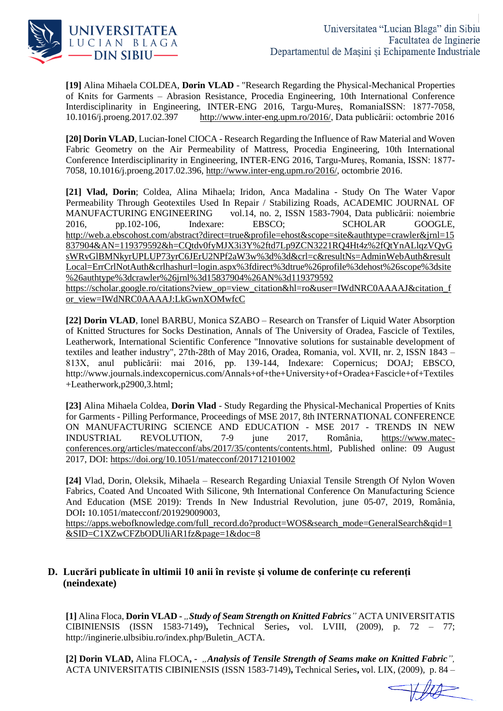

**[19]** Alina Mihaela COLDEA, **Dorin VLAD** - "Research Regarding the Physical-Mechanical Properties of Knits for Garments – Abrasion Resistance, Procedia Engineering, 10th International Conference Interdisciplinarity in Engineering, INTER-ENG 2016, Targu-Mureș, RomaniaISSN: 1877-7058, 10.1016/j.proeng.2017.02.397 http://www.inter-eng.upm.ro/2016/, Data publicării: octombrie 2016 [http://www.inter-eng.upm.ro/2016/,](http://www.inter-eng.upm.ro/2016/) Data publicării: octombrie 2016

**[20] Dorin VLAD**, Lucian-Ionel CIOCA - Research Regarding the Influence of Raw Material and Woven Fabric Geometry on the Air Permeability of Mattress, Procedia Engineering, 10th International Conference Interdisciplinarity in Engineering, INTER-ENG 2016, Targu-Mureș, Romania, ISSN: 1877- 7058, 10.1016/j.proeng.2017.02.396, [http://www.inter-eng.upm.ro/2016/,](http://www.inter-eng.upm.ro/2016/) octombrie 2016.

**[21] Vlad, Dorin**; Coldea, Alina Mihaela; Iridon, Anca Madalina - Study On The Water Vapor Permeability Through Geotextiles Used In Repair / Stabilizing Roads, ACADEMIC JOURNAL OF MANUFACTURING ENGINEERING vol.14, no. 2, ISSN 1583-7904, Data publicării: noiembrie 2016, pp.102-106, Indexare: EBSCO; SCHOLAR GOOGLE, [http://web.a.ebscohost.com/abstract?direct=true&profile=ehost&scope=site&authtype=crawler&jrnl=15](http://web.a.ebscohost.com/abstract?direct=true&profile=ehost&scope=site&authtype=crawler&jrnl=15837904&AN=119379592&h=CQtdv0fyMJX3i3Y%2ftd7Lp9ZCN3221RQ4Ht4z%2fQtYnALlqzVQyGsWRvGlBMNkyrUPLUP73yrC6JErU2NPf2aW3w%3d%3d&crl=c&resultNs=AdminWebAuth&resultLocal=ErrCrlNotAuth&crlhashurl=login.aspx%3fdirect%3dtrue%26profile%3dehost%26scope%3dsite%26authtype%3dcrawler%26jrnl%3d15837904%26AN%3d119379592) [837904&AN=119379592&h=CQtdv0fyMJX3i3Y%2ftd7Lp9ZCN3221RQ4Ht4z%2fQtYnALlqzVQyG](http://web.a.ebscohost.com/abstract?direct=true&profile=ehost&scope=site&authtype=crawler&jrnl=15837904&AN=119379592&h=CQtdv0fyMJX3i3Y%2ftd7Lp9ZCN3221RQ4Ht4z%2fQtYnALlqzVQyGsWRvGlBMNkyrUPLUP73yrC6JErU2NPf2aW3w%3d%3d&crl=c&resultNs=AdminWebAuth&resultLocal=ErrCrlNotAuth&crlhashurl=login.aspx%3fdirect%3dtrue%26profile%3dehost%26scope%3dsite%26authtype%3dcrawler%26jrnl%3d15837904%26AN%3d119379592) [sWRvGlBMNkyrUPLUP73yrC6JErU2NPf2aW3w%3d%3d&crl=c&resultNs=AdminWebAuth&result](http://web.a.ebscohost.com/abstract?direct=true&profile=ehost&scope=site&authtype=crawler&jrnl=15837904&AN=119379592&h=CQtdv0fyMJX3i3Y%2ftd7Lp9ZCN3221RQ4Ht4z%2fQtYnALlqzVQyGsWRvGlBMNkyrUPLUP73yrC6JErU2NPf2aW3w%3d%3d&crl=c&resultNs=AdminWebAuth&resultLocal=ErrCrlNotAuth&crlhashurl=login.aspx%3fdirect%3dtrue%26profile%3dehost%26scope%3dsite%26authtype%3dcrawler%26jrnl%3d15837904%26AN%3d119379592) [Local=ErrCrlNotAuth&crlhashurl=login.aspx%3fdirect%3dtrue%26profile%3dehost%26scope%3dsite](http://web.a.ebscohost.com/abstract?direct=true&profile=ehost&scope=site&authtype=crawler&jrnl=15837904&AN=119379592&h=CQtdv0fyMJX3i3Y%2ftd7Lp9ZCN3221RQ4Ht4z%2fQtYnALlqzVQyGsWRvGlBMNkyrUPLUP73yrC6JErU2NPf2aW3w%3d%3d&crl=c&resultNs=AdminWebAuth&resultLocal=ErrCrlNotAuth&crlhashurl=login.aspx%3fdirect%3dtrue%26profile%3dehost%26scope%3dsite%26authtype%3dcrawler%26jrnl%3d15837904%26AN%3d119379592) [%26authtype%3dcrawler%26jrnl%3d15837904%26AN%3d119379592](http://web.a.ebscohost.com/abstract?direct=true&profile=ehost&scope=site&authtype=crawler&jrnl=15837904&AN=119379592&h=CQtdv0fyMJX3i3Y%2ftd7Lp9ZCN3221RQ4Ht4z%2fQtYnALlqzVQyGsWRvGlBMNkyrUPLUP73yrC6JErU2NPf2aW3w%3d%3d&crl=c&resultNs=AdminWebAuth&resultLocal=ErrCrlNotAuth&crlhashurl=login.aspx%3fdirect%3dtrue%26profile%3dehost%26scope%3dsite%26authtype%3dcrawler%26jrnl%3d15837904%26AN%3d119379592)

[https://scholar.google.ro/citations?view\\_op=view\\_citation&hl=ro&user=IWdNRC0AAAAJ&citation\\_f](https://scholar.google.ro/citations?view_op=view_citation&hl=ro&user=IWdNRC0AAAAJ&citation_for_view=IWdNRC0AAAAJ:LkGwnXOMwfcC) [or\\_view=IWdNRC0AAAAJ:LkGwnXOMwfcC](https://scholar.google.ro/citations?view_op=view_citation&hl=ro&user=IWdNRC0AAAAJ&citation_for_view=IWdNRC0AAAAJ:LkGwnXOMwfcC)

**[22] Dorin VLAD**, Ionel BARBU, Monica SZABO – Research on Transfer of Liquid Water Absorption of Knitted Structures for Socks Destination, Annals of The University of Oradea, Fascicle of Textiles, Leatherwork, International Scientific Conference "Innovative solutions for sustainable development of textiles and leather industry", 27th-28th of May 2016, Oradea, Romania, vol. XVII, nr. 2, ISSN 1843 – 813X, anul publicării: mai 2016, pp. 139-144, Indexare: Copernicus; DOAJ; EBSCO, http://www.journals.indexcopernicus.com/Annals+of+the+University+of+Oradea+Fascicle+of+Textiles +Leatherwork,p2900,3.html;

**[23]** Alina Mihaela Coldea, **Dorin Vlad** - Study Regarding the Physical-Mechanical Properties of Knits for Garments - Pilling Performance, Proceedings of MSE 2017, 8th INTERNATIONAL CONFERENCE ON MANUFACTURING SCIENCE AND EDUCATION - MSE 2017 - TRENDS IN NEW INDUSTRIAL REVOLUTION, 7-9 june 2017, România, [https://www.matec](https://www.matec-conferences.org/articles/matecconf/abs/2017/35/contents/contents.html)[conferences.org/articles/matecconf/abs/2017/35/contents/contents.html,](https://www.matec-conferences.org/articles/matecconf/abs/2017/35/contents/contents.html) Published online: 09 August 2017, DOI: <https://doi.org/10.1051/matecconf/201712101002>

**[24]** Vlad, Dorin, Oleksik, Mihaela – Research Regarding Uniaxial Tensile Strength Of Nylon Woven Fabrics, Coated And Uncoated With Silicone, 9th International Conference On Manufacturing Science And Education (MSE 2019): Trends In New Industrial Revolution, june 05-07, 2019, România, DOI**:** 10.1051/matecconf/201929009003,

[https://apps.webofknowledge.com/full\\_record.do?product=WOS&search\\_mode=GeneralSearch&qid=1](https://apps.webofknowledge.com/full_record.do?product=WOS&search_mode=GeneralSearch&qid=1&SID=C1XZwCFZbODUliAR1fz&page=1&doc=8) [&SID=C1XZwCFZbODUliAR1fz&page=1&doc=8](https://apps.webofknowledge.com/full_record.do?product=WOS&search_mode=GeneralSearch&qid=1&SID=C1XZwCFZbODUliAR1fz&page=1&doc=8)

## **D. Lucrări publicate în ultimii 10 anii în reviste și volume de conferințe cu referenți (neindexate)**

**[1]** Alina Floca, **Dorin VLAD -** *"Study of Seam Strength on Knitted Fabrics"* ACTA UNIVERSITATIS CIBINIENSIS (ISSN 1583-7149)**,** Technical Series**,** vol. LVIII, (2009), p. 72 – 77; http://inginerie.ulbsibiu.ro/index.php/Buletin\_ACTA.

**[2] Dorin VLAD,** Alina FLOCA**, -** *"Analysis of Tensile Strength of Seams make on Knitted Fabric",*  ACTA UNIVERSITATIS CIBINIENSIS (ISSN 1583-7149)**,** Technical Series**,** vol. LIX, (2009), p. 84 –

 $Hdd =$